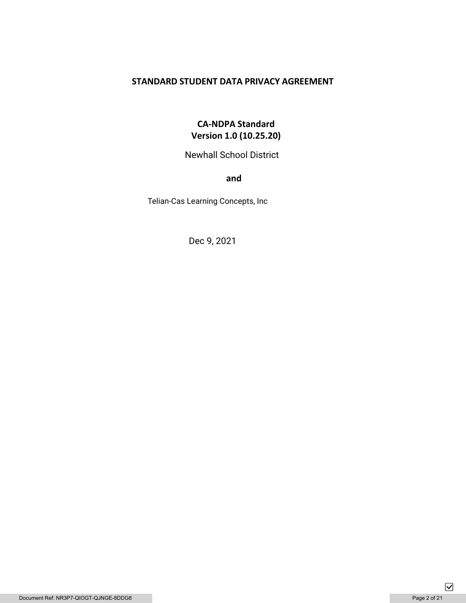# **STANDARD STUDENT DATA PRIVACY AGREEMENT**

# **CA-NDPA Standard Version 1.0 (10.25.20)**

Newhall School District

**and** 

Telian-Cas Learning Concepts, Inc

Dec 9, 2021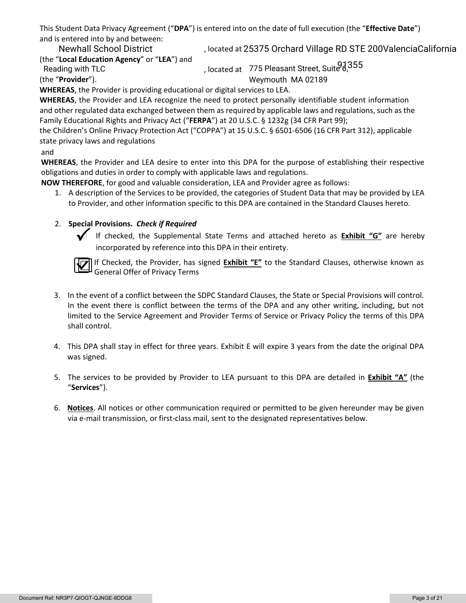This Student Data Privacy Agreement ("**DPA**") is entered into on the date of full execution (the "**Effective Date**") and is entered into by and between:

(the "**Local Education Agency**" or "**LEA**") and

, located at Newhall School District 25375 Orchard Village RD STE 200ValenciaCalifornia

(the "**Provider**"). Reading with TLC

, located at  $\,$  775 Pleasant Street, Suite  $\rm 8,355$ Weymouth MA 02189

**WHEREAS**, the Provider is providing educational or digital services to LEA.

**WHEREAS**, the Provider and LEA recognize the need to protect personally identifiable student information and other regulated data exchanged between them as required by applicable laws and regulations, such as the Family Educational Rights and Privacy Act ("**FERPA**") at 20 U.S.C. § 1232g (34 CFR Part 99);

the Children's Online Privacy Protection Act ("COPPA") at 15 U.S.C. § 6501-6506 (16 CFR Part 312), applicable state privacy laws and regulations

## and

**WHEREAS**, the Provider and LEA desire to enter into this DPA for the purpose of establishing their respective obligations and duties in order to comply with applicable laws and regulations.

**NOW THEREFORE**, for good and valuable consideration, LEA and Provider agree as follows:

1. A description of the Services to be provided, the categories of Student Data that may be provided by LEA to Provider, and other information specific to this DPA are contained in the Standard Clauses hereto.

# 2. **Special Provisions.** *Check if Required*



 If checked, the Supplemental State Terms and attached hereto as **Exhibit "G"** are hereby incorporated by reference into this DPA in their entirety.



If Checked, the Provider, has signed **Exhibit "E"** to the Standard Clauses, otherwise known as General Offer of Privacy Terms

- 3. In the event of a conflict between the SDPC Standard Clauses, the State or Special Provisions will control. In the event there is conflict between the terms of the DPA and any other writing, including, but not limited to the Service Agreement and Provider Terms of Service or Privacy Policy the terms of this DPA shall control.
- 4. This DPA shall stay in effect for three years. Exhibit E will expire 3 years from the date the original DPA was signed.
- 5. The services to be provided by Provider to LEA pursuant to this DPA are detailed in **Exhibit "A"** (the "**Services**").
- 6. **Notices**. All notices or other communication required or permitted to be given hereunder may be given via e-mail transmission, or first-class mail, sent to the designated representatives below.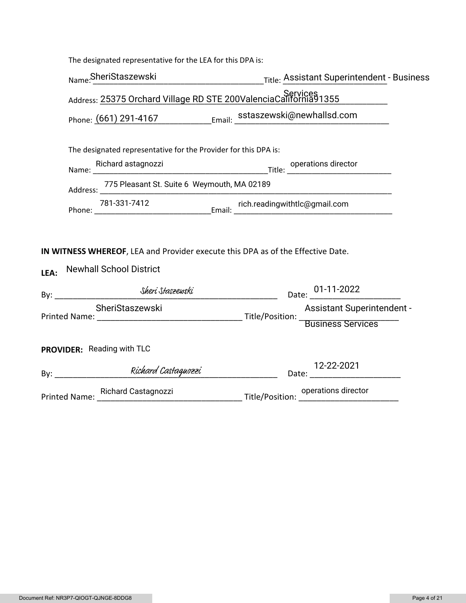|                                                                                                                           | The designated representative for the LEA for this DPA is:                   |                                        |  |  |
|---------------------------------------------------------------------------------------------------------------------------|------------------------------------------------------------------------------|----------------------------------------|--|--|
|                                                                                                                           |                                                                              |                                        |  |  |
|                                                                                                                           | Services<br>Address: 25375 Orchard Village RD STE 200ValenciaCalifornia91355 |                                        |  |  |
|                                                                                                                           | Phone: (661) 291-4167 Email: sstaszewski@newhallsd.com                       |                                        |  |  |
| The designated representative for the Provider for this DPA is:                                                           |                                                                              |                                        |  |  |
|                                                                                                                           |                                                                              |                                        |  |  |
|                                                                                                                           | Address: 775 Pleasant St. Suite 6 Weymouth, MA 02189                         |                                        |  |  |
|                                                                                                                           |                                                                              |                                        |  |  |
| IN WITNESS WHEREOF, LEA and Provider execute this DPA as of the Effective Date.<br><b>Newhall School District</b><br>LEA: |                                                                              |                                        |  |  |
|                                                                                                                           | SheriStaszewski                                                              | Date: 01-11-2022                       |  |  |
|                                                                                                                           |                                                                              | Assistant Superintendent -             |  |  |
|                                                                                                                           | PROVIDER: Reading with TLC                                                   |                                        |  |  |
|                                                                                                                           |                                                                              | <u> 1990 - Jan Barat III, martin d</u> |  |  |
|                                                                                                                           |                                                                              |                                        |  |  |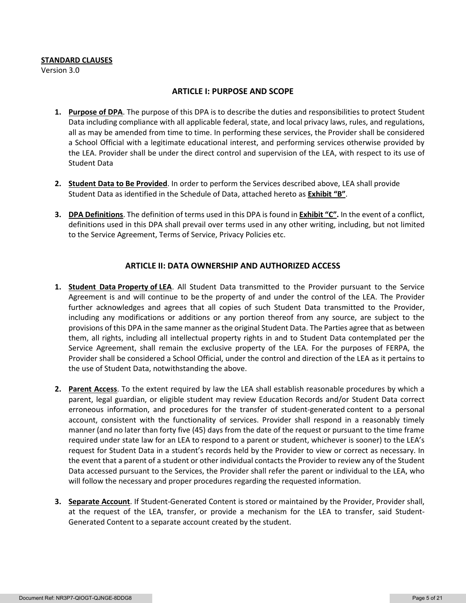#### **STANDARD CLAUSES**

Version 3.0

#### **ARTICLE I: PURPOSE AND SCOPE**

- **1. Purpose of DPA**. The purpose of this DPA is to describe the duties and responsibilities to protect Student Data including compliance with all applicable federal, state, and local privacy laws, rules, and regulations, all as may be amended from time to time. In performing these services, the Provider shall be considered a School Official with a legitimate educational interest, and performing services otherwise provided by the LEA. Provider shall be under the direct control and supervision of the LEA, with respect to its use of Student Data
- **2. Student Data to Be Provided**. In order to perform the Services described above, LEA shall provide Student Data as identified in the Schedule of Data, attached hereto as **Exhibit "B"**.
- **3. DPA Definitions**. The definition of terms used in this DPA is found in **Exhibit "C".** In the event of a conflict, definitions used in this DPA shall prevail over terms used in any other writing, including, but not limited to the Service Agreement, Terms of Service, Privacy Policies etc.

#### **ARTICLE II: DATA OWNERSHIP AND AUTHORIZED ACCESS**

- **1. Student Data Property of LEA**. All Student Data transmitted to the Provider pursuant to the Service Agreement is and will continue to be the property of and under the control of the LEA. The Provider further acknowledges and agrees that all copies of such Student Data transmitted to the Provider, including any modifications or additions or any portion thereof from any source, are subject to the provisions of this DPA in the same manner as the original Student Data. The Parties agree that as between them, all rights, including all intellectual property rights in and to Student Data contemplated per the Service Agreement, shall remain the exclusive property of the LEA. For the purposes of FERPA, the Provider shall be considered a School Official, under the control and direction of the LEA as it pertains to the use of Student Data, notwithstanding the above.
- **2. Parent Access**. To the extent required by law the LEA shall establish reasonable procedures by which a parent, legal guardian, or eligible student may review Education Records and/or Student Data correct erroneous information, and procedures for the transfer of student-generated content to a personal account, consistent with the functionality of services. Provider shall respond in a reasonably timely manner (and no later than forty five (45) days from the date of the request or pursuant to the time frame required under state law for an LEA to respond to a parent or student, whichever is sooner) to the LEA's request for Student Data in a student's records held by the Provider to view or correct as necessary. In the event that a parent of a student or other individual contacts the Provider to review any of the Student Data accessed pursuant to the Services, the Provider shall refer the parent or individual to the LEA, who will follow the necessary and proper procedures regarding the requested information.
- **3. Separate Account**. If Student-Generated Content is stored or maintained by the Provider, Provider shall, at the request of the LEA, transfer, or provide a mechanism for the LEA to transfer, said Student-Generated Content to a separate account created by the student.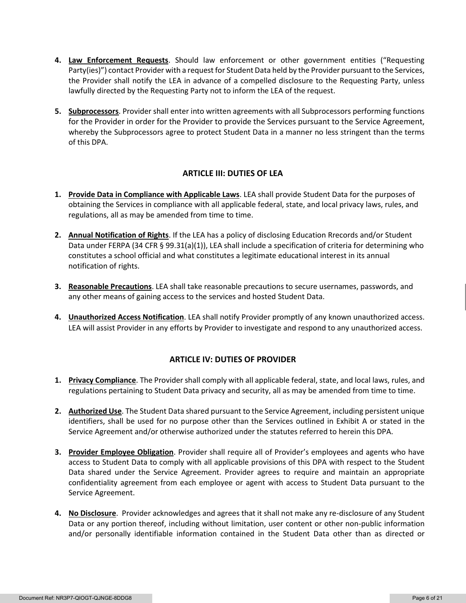- **4. Law Enforcement Requests**. Should law enforcement or other government entities ("Requesting Party(ies)") contact Provider with a request for Student Data held by the Provider pursuant to the Services, the Provider shall notify the LEA in advance of a compelled disclosure to the Requesting Party, unless lawfully directed by the Requesting Party not to inform the LEA of the request.
- **5. Subprocessors**. Provider shall enter into written agreements with all Subprocessors performing functions for the Provider in order for the Provider to provide the Services pursuant to the Service Agreement, whereby the Subprocessors agree to protect Student Data in a manner no less stringent than the terms of this DPA.

## **ARTICLE III: DUTIES OF LEA**

- **1. Provide Data in Compliance with Applicable Laws**. LEA shall provide Student Data for the purposes of obtaining the Services in compliance with all applicable federal, state, and local privacy laws, rules, and regulations, all as may be amended from time to time.
- **2. Annual Notification of Rights**. If the LEA has a policy of disclosing Education Rrecords and/or Student Data under FERPA (34 CFR § 99.31(a)(1)), LEA shall include a specification of criteria for determining who constitutes a school official and what constitutes a legitimate educational interest in its annual notification of rights.
- **3. Reasonable Precautions**. LEA shall take reasonable precautions to secure usernames, passwords, and any other means of gaining access to the services and hosted Student Data.
- **4. Unauthorized Access Notification**. LEA shall notify Provider promptly of any known unauthorized access. LEA will assist Provider in any efforts by Provider to investigate and respond to any unauthorized access.

## **ARTICLE IV: DUTIES OF PROVIDER**

- **1. Privacy Compliance**. The Provider shall comply with all applicable federal, state, and local laws, rules, and regulations pertaining to Student Data privacy and security, all as may be amended from time to time.
- **2. Authorized Use**. The Student Data shared pursuant to the Service Agreement, including persistent unique identifiers, shall be used for no purpose other than the Services outlined in Exhibit A or stated in the Service Agreement and/or otherwise authorized under the statutes referred to herein this DPA.
- **3. Provider Employee Obligation**. Provider shall require all of Provider's employees and agents who have access to Student Data to comply with all applicable provisions of this DPA with respect to the Student Data shared under the Service Agreement. Provider agrees to require and maintain an appropriate confidentiality agreement from each employee or agent with access to Student Data pursuant to the Service Agreement.
- **4. No Disclosure**. Provider acknowledges and agrees that it shall not make any re-disclosure of any Student Data or any portion thereof, including without limitation, user content or other non-public information and/or personally identifiable information contained in the Student Data other than as directed or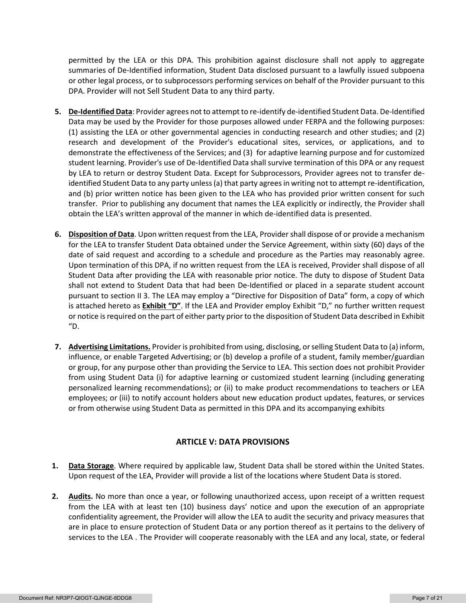permitted by the LEA or this DPA. This prohibition against disclosure shall not apply to aggregate summaries of De-Identified information, Student Data disclosed pursuant to a lawfully issued subpoena or other legal process, or to subprocessors performing services on behalf of the Provider pursuant to this DPA. Provider will not Sell Student Data to any third party.

- **5. De-Identified Data**: Provider agrees not to attempt to re-identify de-identified Student Data. De-Identified Data may be used by the Provider for those purposes allowed under FERPA and the following purposes: (1) assisting the LEA or other governmental agencies in conducting research and other studies; and (2) research and development of the Provider's educational sites, services, or applications, and to demonstrate the effectiveness of the Services; and (3) for adaptive learning purpose and for customized student learning. Provider's use of De-Identified Data shall survive termination of this DPA or any request by LEA to return or destroy Student Data. Except for Subprocessors, Provider agrees not to transfer deidentified Student Data to any party unless (a) that party agrees in writing not to attempt re-identification, and (b) prior written notice has been given to the LEA who has provided prior written consent for such transfer. Prior to publishing any document that names the LEA explicitly or indirectly, the Provider shall obtain the LEA's written approval of the manner in which de-identified data is presented.
- **6. Disposition of Data**. Upon written request from the LEA, Provider shall dispose of or provide a mechanism for the LEA to transfer Student Data obtained under the Service Agreement, within sixty (60) days of the date of said request and according to a schedule and procedure as the Parties may reasonably agree. Upon termination of this DPA, if no written request from the LEA is received, Provider shall dispose of all Student Data after providing the LEA with reasonable prior notice. The duty to dispose of Student Data shall not extend to Student Data that had been De-Identified or placed in a separate student account pursuant to section II 3. The LEA may employ a "Directive for Disposition of Data" form, a copy of which is attached hereto as **Exhibit "D"**. If the LEA and Provider employ Exhibit "D," no further written request or notice is required on the part of either party prior to the disposition of Student Data described in Exhibit "D.
- **7. Advertising Limitations.** Provider is prohibited from using, disclosing, or selling Student Data to (a) inform, influence, or enable Targeted Advertising; or (b) develop a profile of a student, family member/guardian or group, for any purpose other than providing the Service to LEA. This section does not prohibit Provider from using Student Data (i) for adaptive learning or customized student learning (including generating personalized learning recommendations); or (ii) to make product recommendations to teachers or LEA employees; or (iii) to notify account holders about new education product updates, features, or services or from otherwise using Student Data as permitted in this DPA and its accompanying exhibits

## **ARTICLE V: DATA PROVISIONS**

- **1. Data Storage**. Where required by applicable law, Student Data shall be stored within the United States. Upon request of the LEA, Provider will provide a list of the locations where Student Data is stored.
- **2. Audits.** No more than once a year, or following unauthorized access, upon receipt of a written request from the LEA with at least ten (10) business days' notice and upon the execution of an appropriate confidentiality agreement, the Provider will allow the LEA to audit the security and privacy measures that are in place to ensure protection of Student Data or any portion thereof as it pertains to the delivery of services to the LEA . The Provider will cooperate reasonably with the LEA and any local, state, or federal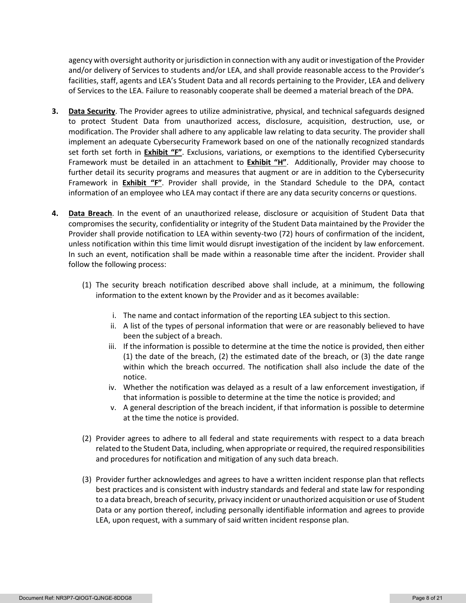agency with oversight authority or jurisdiction in connection with any audit or investigation of the Provider and/or delivery of Services to students and/or LEA, and shall provide reasonable access to the Provider's facilities, staff, agents and LEA's Student Data and all records pertaining to the Provider, LEA and delivery of Services to the LEA. Failure to reasonably cooperate shall be deemed a material breach of the DPA.

- **3. Data Security**. The Provider agrees to utilize administrative, physical, and technical safeguards designed to protect Student Data from unauthorized access, disclosure, acquisition, destruction, use, or modification. The Provider shall adhere to any applicable law relating to data security. The provider shall implement an adequate Cybersecurity Framework based on one of the nationally recognized standards set forth set forth in **Exhibit "F"**. Exclusions, variations, or exemptions to the identified Cybersecurity Framework must be detailed in an attachment to **Exhibit "H"**. Additionally, Provider may choose to further detail its security programs and measures that augment or are in addition to the Cybersecurity Framework in **Exhibit "F"**. Provider shall provide, in the Standard Schedule to the DPA, contact information of an employee who LEA may contact if there are any data security concerns or questions.
- **4. Data Breach**. In the event of an unauthorized release, disclosure or acquisition of Student Data that compromises the security, confidentiality or integrity of the Student Data maintained by the Provider the Provider shall provide notification to LEA within seventy-two (72) hours of confirmation of the incident, unless notification within this time limit would disrupt investigation of the incident by law enforcement. In such an event, notification shall be made within a reasonable time after the incident. Provider shall follow the following process:
	- (1) The security breach notification described above shall include, at a minimum, the following information to the extent known by the Provider and as it becomes available:
		- i. The name and contact information of the reporting LEA subject to this section.
		- ii. A list of the types of personal information that were or are reasonably believed to have been the subject of a breach.
		- iii. If the information is possible to determine at the time the notice is provided, then either (1) the date of the breach, (2) the estimated date of the breach, or (3) the date range within which the breach occurred. The notification shall also include the date of the notice.
		- iv. Whether the notification was delayed as a result of a law enforcement investigation, if that information is possible to determine at the time the notice is provided; and
		- v. A general description of the breach incident, if that information is possible to determine at the time the notice is provided.
	- (2) Provider agrees to adhere to all federal and state requirements with respect to a data breach related to the Student Data, including, when appropriate or required, the required responsibilities and procedures for notification and mitigation of any such data breach.
	- (3) Provider further acknowledges and agrees to have a written incident response plan that reflects best practices and is consistent with industry standards and federal and state law for responding to a data breach, breach of security, privacy incident or unauthorized acquisition or use of Student Data or any portion thereof, including personally identifiable information and agrees to provide LEA, upon request, with a summary of said written incident response plan.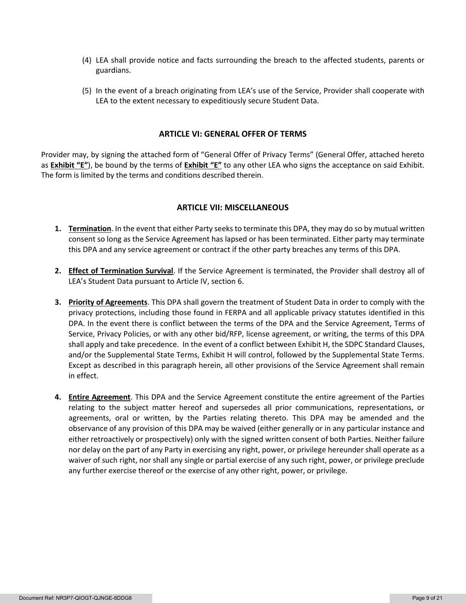- (4) LEA shall provide notice and facts surrounding the breach to the affected students, parents or guardians.
- (5) In the event of a breach originating from LEA's use of the Service, Provider shall cooperate with LEA to the extent necessary to expeditiously secure Student Data.

#### **ARTICLE VI: GENERAL OFFER OF TERMS**

Provider may, by signing the attached form of "General Offer of Privacy Terms" (General Offer, attached hereto as **Exhibit "E"**), be bound by the terms of **Exhibit "E"** to any other LEA who signs the acceptance on said Exhibit. The form is limited by the terms and conditions described therein.

#### **ARTICLE VII: MISCELLANEOUS**

- **1. Termination**. In the event that either Party seeks to terminate this DPA, they may do so by mutual written consent so long as the Service Agreement has lapsed or has been terminated. Either party may terminate this DPA and any service agreement or contract if the other party breaches any terms of this DPA.
- **2. Effect of Termination Survival**. If the Service Agreement is terminated, the Provider shall destroy all of LEA's Student Data pursuant to Article IV, section 6.
- **3. Priority of Agreements**. This DPA shall govern the treatment of Student Data in order to comply with the privacy protections, including those found in FERPA and all applicable privacy statutes identified in this DPA. In the event there is conflict between the terms of the DPA and the Service Agreement, Terms of Service, Privacy Policies, or with any other bid/RFP, license agreement, or writing, the terms of this DPA shall apply and take precedence. In the event of a conflict between Exhibit H, the SDPC Standard Clauses, and/or the Supplemental State Terms, Exhibit H will control, followed by the Supplemental State Terms. Except as described in this paragraph herein, all other provisions of the Service Agreement shall remain in effect.
- **4. Entire Agreement**. This DPA and the Service Agreement constitute the entire agreement of the Parties relating to the subject matter hereof and supersedes all prior communications, representations, or agreements, oral or written, by the Parties relating thereto. This DPA may be amended and the observance of any provision of this DPA may be waived (either generally or in any particular instance and either retroactively or prospectively) only with the signed written consent of both Parties. Neither failure nor delay on the part of any Party in exercising any right, power, or privilege hereunder shall operate as a waiver of such right, nor shall any single or partial exercise of any such right, power, or privilege preclude any further exercise thereof or the exercise of any other right, power, or privilege.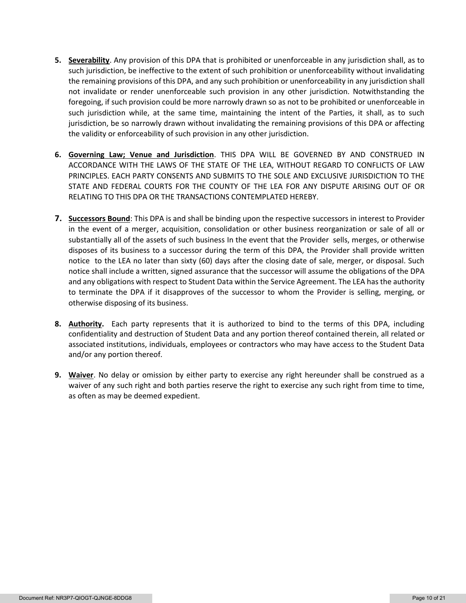- **5. Severability**. Any provision of this DPA that is prohibited or unenforceable in any jurisdiction shall, as to such jurisdiction, be ineffective to the extent of such prohibition or unenforceability without invalidating the remaining provisions of this DPA, and any such prohibition or unenforceability in any jurisdiction shall not invalidate or render unenforceable such provision in any other jurisdiction. Notwithstanding the foregoing, if such provision could be more narrowly drawn so as not to be prohibited or unenforceable in such jurisdiction while, at the same time, maintaining the intent of the Parties, it shall, as to such jurisdiction, be so narrowly drawn without invalidating the remaining provisions of this DPA or affecting the validity or enforceability of such provision in any other jurisdiction.
- **6. Governing Law; Venue and Jurisdiction**. THIS DPA WILL BE GOVERNED BY AND CONSTRUED IN ACCORDANCE WITH THE LAWS OF THE STATE OF THE LEA, WITHOUT REGARD TO CONFLICTS OF LAW PRINCIPLES. EACH PARTY CONSENTS AND SUBMITS TO THE SOLE AND EXCLUSIVE JURISDICTION TO THE STATE AND FEDERAL COURTS FOR THE COUNTY OF THE LEA FOR ANY DISPUTE ARISING OUT OF OR RELATING TO THIS DPA OR THE TRANSACTIONS CONTEMPLATED HEREBY.
- **7. Successors Bound**: This DPA is and shall be binding upon the respective successors in interest to Provider in the event of a merger, acquisition, consolidation or other business reorganization or sale of all or substantially all of the assets of such business In the event that the Provider sells, merges, or otherwise disposes of its business to a successor during the term of this DPA, the Provider shall provide written notice to the LEA no later than sixty (60) days after the closing date of sale, merger, or disposal. Such notice shall include a written, signed assurance that the successor will assume the obligations of the DPA and any obligations with respect to Student Data within the Service Agreement. The LEA has the authority to terminate the DPA if it disapproves of the successor to whom the Provider is selling, merging, or otherwise disposing of its business.
- **8. Authority.** Each party represents that it is authorized to bind to the terms of this DPA, including confidentiality and destruction of Student Data and any portion thereof contained therein, all related or associated institutions, individuals, employees or contractors who may have access to the Student Data and/or any portion thereof.
- **9. Waiver**. No delay or omission by either party to exercise any right hereunder shall be construed as a waiver of any such right and both parties reserve the right to exercise any such right from time to time, as often as may be deemed expedient.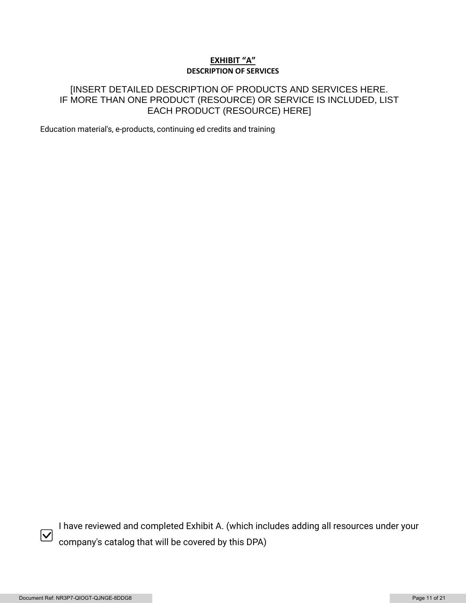## **EXHIBIT "A" DESCRIPTION OF SERVICES**

# [INSERT DETAILED DESCRIPTION OF PRODUCTS AND SERVICES HERE. IF MORE THAN ONE PRODUCT (RESOURCE) OR SERVICE IS INCLUDED, LIST EACH PRODUCT (RESOURCE) HERE]

Education material's, e-products, continuing ed credits and training



I have reviewed and completed Exhibit A. (which includes adding all resources under your company's catalog that will be covered by this DPA)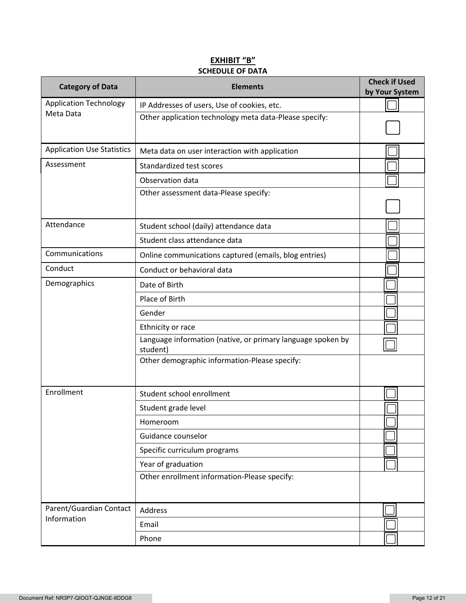# **EXHIBIT "B" SCHEDULE OF DATA**

| <b>Category of Data</b>           | <b>Elements</b>                                                         | <b>Check if Used</b><br>by Your System |
|-----------------------------------|-------------------------------------------------------------------------|----------------------------------------|
| <b>Application Technology</b>     | IP Addresses of users, Use of cookies, etc.                             |                                        |
| Meta Data                         | Other application technology meta data-Please specify:                  |                                        |
| <b>Application Use Statistics</b> | Meta data on user interaction with application                          |                                        |
| Assessment                        | Standardized test scores                                                |                                        |
|                                   | Observation data                                                        |                                        |
|                                   | Other assessment data-Please specify:                                   |                                        |
| Attendance                        | Student school (daily) attendance data                                  |                                        |
|                                   | Student class attendance data                                           |                                        |
| Communications                    | Online communications captured (emails, blog entries)                   |                                        |
| Conduct                           | Conduct or behavioral data                                              |                                        |
| Demographics                      | Date of Birth                                                           |                                        |
|                                   | Place of Birth                                                          |                                        |
|                                   | Gender                                                                  |                                        |
|                                   | Ethnicity or race                                                       |                                        |
|                                   | Language information (native, or primary language spoken by<br>student) |                                        |
|                                   | Other demographic information-Please specify:                           |                                        |
| Enrollment                        | Student school enrollment                                               |                                        |
|                                   | Student grade level                                                     |                                        |
|                                   | Homeroom                                                                |                                        |
|                                   | Guidance counselor                                                      |                                        |
|                                   | Specific curriculum programs                                            |                                        |
|                                   | Year of graduation                                                      |                                        |
|                                   | Other enrollment information-Please specify:                            |                                        |
| Parent/Guardian Contact           | Address                                                                 |                                        |
| Information                       | Email                                                                   |                                        |
|                                   | Phone                                                                   |                                        |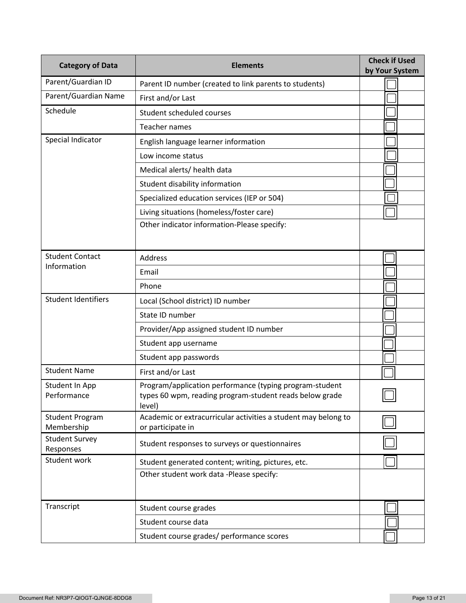| <b>Category of Data</b>               | <b>Elements</b>                                                                                                              | <b>Check if Used</b><br>by Your System |
|---------------------------------------|------------------------------------------------------------------------------------------------------------------------------|----------------------------------------|
| Parent/Guardian ID                    | Parent ID number (created to link parents to students)                                                                       |                                        |
| Parent/Guardian Name                  | First and/or Last                                                                                                            |                                        |
| Schedule<br>Student scheduled courses |                                                                                                                              |                                        |
|                                       | <b>Teacher names</b>                                                                                                         |                                        |
| Special Indicator                     | English language learner information                                                                                         |                                        |
|                                       | Low income status                                                                                                            |                                        |
|                                       | Medical alerts/ health data                                                                                                  |                                        |
|                                       | Student disability information                                                                                               |                                        |
|                                       | Specialized education services (IEP or 504)                                                                                  |                                        |
|                                       | Living situations (homeless/foster care)                                                                                     |                                        |
|                                       | Other indicator information-Please specify:                                                                                  |                                        |
| <b>Student Contact</b>                | <b>Address</b>                                                                                                               |                                        |
| Information                           | Email                                                                                                                        |                                        |
|                                       | Phone                                                                                                                        |                                        |
| <b>Student Identifiers</b>            | Local (School district) ID number                                                                                            |                                        |
|                                       | State ID number                                                                                                              |                                        |
|                                       | Provider/App assigned student ID number                                                                                      |                                        |
|                                       | Student app username                                                                                                         |                                        |
|                                       | Student app passwords                                                                                                        |                                        |
| <b>Student Name</b>                   | First and/or Last                                                                                                            |                                        |
| Student In App<br>Performance         | Program/application performance (typing program-student<br>types 60 wpm, reading program-student reads below grade<br>level) |                                        |
| <b>Student Program</b><br>Membership  | Academic or extracurricular activities a student may belong to<br>or participate in                                          |                                        |
| <b>Student Survey</b><br>Responses    | Student responses to surveys or questionnaires                                                                               |                                        |
| Student work                          | Student generated content; writing, pictures, etc.                                                                           |                                        |
|                                       | Other student work data -Please specify:                                                                                     |                                        |
| Transcript                            | Student course grades                                                                                                        |                                        |
|                                       | Student course data                                                                                                          |                                        |
|                                       | Student course grades/ performance scores                                                                                    |                                        |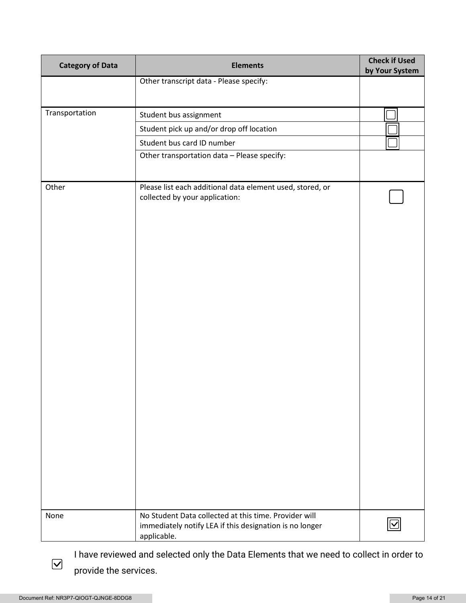| <b>Category of Data</b> | <b>Elements</b>                                                                                                                 | <b>Check if Used</b><br>by Your System |
|-------------------------|---------------------------------------------------------------------------------------------------------------------------------|----------------------------------------|
|                         | Other transcript data - Please specify:                                                                                         |                                        |
|                         |                                                                                                                                 |                                        |
| Transportation          | Student bus assignment                                                                                                          |                                        |
|                         | Student pick up and/or drop off location                                                                                        |                                        |
|                         | Student bus card ID number                                                                                                      |                                        |
|                         | Other transportation data - Please specify:                                                                                     |                                        |
|                         |                                                                                                                                 |                                        |
| Other                   | Please list each additional data element used, stored, or<br>collected by your application:                                     |                                        |
|                         |                                                                                                                                 |                                        |
| None                    | No Student Data collected at this time. Provider will<br>immediately notify LEA if this designation is no longer<br>applicable. |                                        |

I have reviewed and selected only the Data Elements that we need to collect in order to provide the services.

 $\boxed{\blacktriangledown}$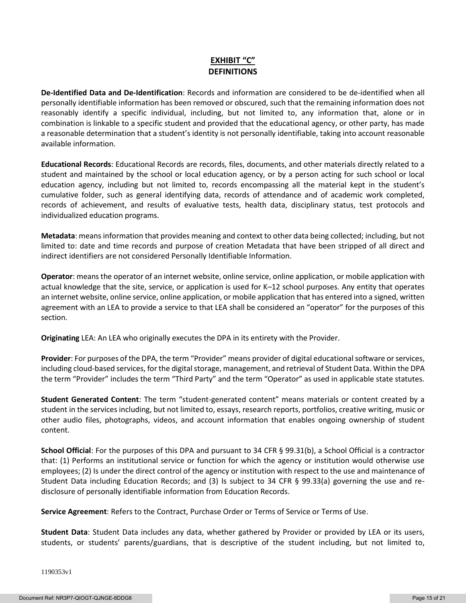# **EXHIBIT "C" DEFINITIONS**

**De-Identified Data and De-Identification**: Records and information are considered to be de-identified when all personally identifiable information has been removed or obscured, such that the remaining information does not reasonably identify a specific individual, including, but not limited to, any information that, alone or in combination is linkable to a specific student and provided that the educational agency, or other party, has made a reasonable determination that a student's identity is not personally identifiable, taking into account reasonable available information.

**Educational Records**: Educational Records are records, files, documents, and other materials directly related to a student and maintained by the school or local education agency, or by a person acting for such school or local education agency, including but not limited to, records encompassing all the material kept in the student's cumulative folder, such as general identifying data, records of attendance and of academic work completed, records of achievement, and results of evaluative tests, health data, disciplinary status, test protocols and individualized education programs.

**Metadata**: means information that provides meaning and context to other data being collected; including, but not limited to: date and time records and purpose of creation Metadata that have been stripped of all direct and indirect identifiers are not considered Personally Identifiable Information.

**Operator**: means the operator of an internet website, online service, online application, or mobile application with actual knowledge that the site, service, or application is used for K–12 school purposes. Any entity that operates an internet website, online service, online application, or mobile application that has entered into a signed, written agreement with an LEA to provide a service to that LEA shall be considered an "operator" for the purposes of this section.

**Originating** LEA: An LEA who originally executes the DPA in its entirety with the Provider.

**Provider**: For purposes of the DPA, the term "Provider" means provider of digital educational software or services, including cloud-based services, for the digital storage, management, and retrieval of Student Data. Within the DPA the term "Provider" includes the term "Third Party" and the term "Operator" as used in applicable state statutes.

**Student Generated Content**: The term "student-generated content" means materials or content created by a student in the services including, but not limited to, essays, research reports, portfolios, creative writing, music or other audio files, photographs, videos, and account information that enables ongoing ownership of student content.

**School Official**: For the purposes of this DPA and pursuant to 34 CFR § 99.31(b), a School Official is a contractor that: (1) Performs an institutional service or function for which the agency or institution would otherwise use employees; (2) Is under the direct control of the agency or institution with respect to the use and maintenance of Student Data including Education Records; and (3) Is subject to 34 CFR § 99.33(a) governing the use and redisclosure of personally identifiable information from Education Records.

**Service Agreement**: Refers to the Contract, Purchase Order or Terms of Service or Terms of Use.

**Student Data**: Student Data includes any data, whether gathered by Provider or provided by LEA or its users, students, or students' parents/guardians, that is descriptive of the student including, but not limited to,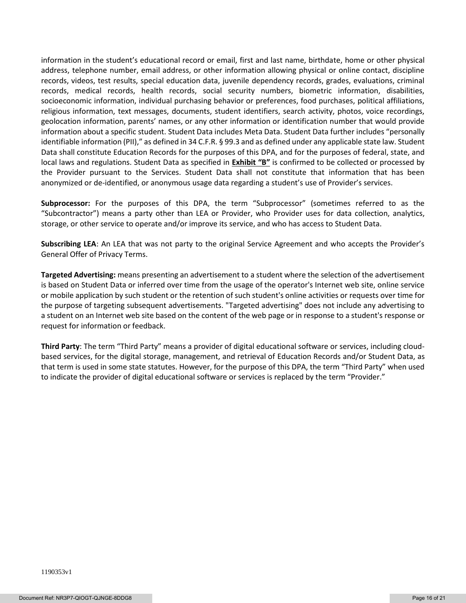information in the student's educational record or email, first and last name, birthdate, home or other physical address, telephone number, email address, or other information allowing physical or online contact, discipline records, videos, test results, special education data, juvenile dependency records, grades, evaluations, criminal records, medical records, health records, social security numbers, biometric information, disabilities, socioeconomic information, individual purchasing behavior or preferences, food purchases, political affiliations, religious information, text messages, documents, student identifiers, search activity, photos, voice recordings, geolocation information, parents' names, or any other information or identification number that would provide information about a specific student. Student Data includes Meta Data. Student Data further includes "personally identifiable information (PII)," as defined in 34 C.F.R. § 99.3 and as defined under any applicable state law. Student Data shall constitute Education Records for the purposes of this DPA, and for the purposes of federal, state, and local laws and regulations. Student Data as specified in **Exhibit "B"** is confirmed to be collected or processed by the Provider pursuant to the Services. Student Data shall not constitute that information that has been anonymized or de-identified, or anonymous usage data regarding a student's use of Provider's services.

**Subprocessor:** For the purposes of this DPA, the term "Subprocessor" (sometimes referred to as the "Subcontractor") means a party other than LEA or Provider, who Provider uses for data collection, analytics, storage, or other service to operate and/or improve its service, and who has access to Student Data.

**Subscribing LEA**: An LEA that was not party to the original Service Agreement and who accepts the Provider's General Offer of Privacy Terms.

**Targeted Advertising:** means presenting an advertisement to a student where the selection of the advertisement is based on Student Data or inferred over time from the usage of the operator's Internet web site, online service or mobile application by such student or the retention of such student's online activities or requests over time for the purpose of targeting subsequent advertisements. "Targeted advertising" does not include any advertising to a student on an Internet web site based on the content of the web page or in response to a student's response or request for information or feedback.

**Third Party**: The term "Third Party" means a provider of digital educational software or services, including cloudbased services, for the digital storage, management, and retrieval of Education Records and/or Student Data, as that term is used in some state statutes. However, for the purpose of this DPA, the term "Third Party" when used to indicate the provider of digital educational software or services is replaced by the term "Provider."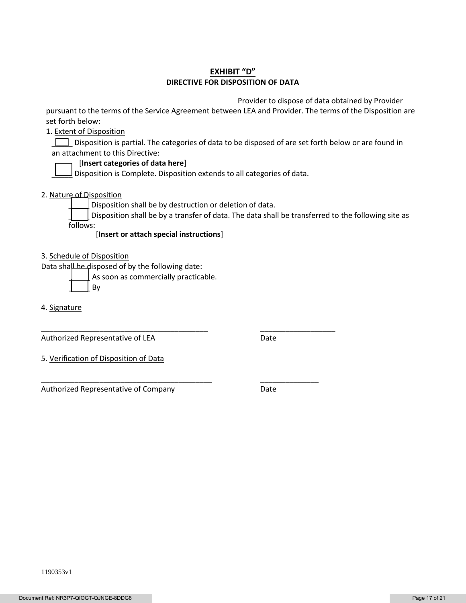## **EXHIBIT "D" DIRECTIVE FOR DISPOSITION OF DATA**

Provider to dispose of data obtained by Provider

pursuant to the terms of the Service Agreement between LEA and Provider. The terms of the Disposition are set forth below:

1. Extent of Disposition

Disposition is partial. The categories of data to be disposed of are set forth below or are found in an attachment to this Directive:

#### [**Insert categories of data here**]

 $\Box$  Disposition is Complete. Disposition extends to all categories of data.

2. Nature of Disposition

Disposition shall be by destruction or deletion of data.

\_\_\_\_\_\_\_\_\_\_\_\_\_\_\_\_\_\_\_\_\_\_\_\_\_\_\_\_\_\_\_\_\_\_\_\_\_\_\_\_ \_\_\_\_\_\_\_\_\_\_\_\_\_\_\_\_\_\_

\_\_\_\_\_\_\_\_\_\_\_\_\_\_\_\_\_\_\_\_\_\_\_\_\_\_\_\_\_\_\_\_\_\_\_\_\_\_\_\_\_ \_\_\_\_\_\_\_\_\_\_\_\_\_\_

Disposition shall be by a transfer of data. The data shall be transferred to the following site as follows:

[**Insert or attach special instructions**]

3. Schedule of Disposition

Data shall be disposed of by the following date:

As soon as commercially practicable.

\_\_\_\_\_ By

4. Signature

Authorized Representative of LEA Date

5. Verification of Disposition of Data

Authorized Representative of Company **Date**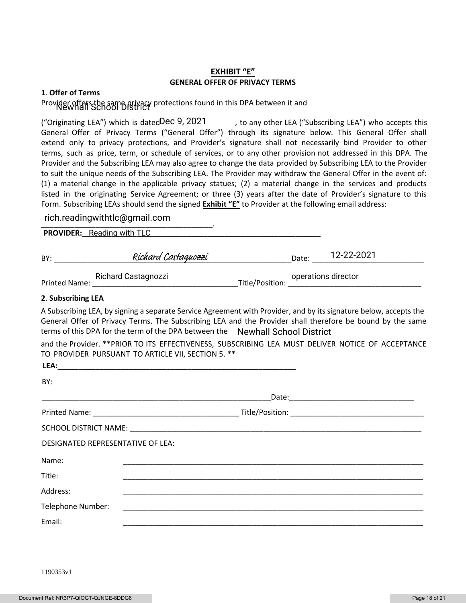#### **EXHIBIT "E" GENERAL OFFER OF PRIVACY TERMS**

#### **1**. **Offer of Terms**

# Provider of fers the same privacy protections found in this DPA between it and

("Originating LEA") which is dated Dec 9, 2021  $\qquad \qquad$ , to any other LEA ("Subscribing LEA") who accepts this General Offer of Privacy Terms ("General Offer") through its signature below. This General Offer shall extend only to privacy protections, and Provider's signature shall not necessarily bind Provider to other terms, such as price, term, or schedule of services, or to any other provision not addressed in this DPA. The Provider and the Subscribing LEA may also agree to change the data provided by Subscribing LEA to the Provider to suit the unique needs of the Subscribing LEA. The Provider may withdraw the General Offer in the event of: (1) a material change in the applicable privacy statues; (2) a material change in the services and products listed in the originating Service Agreement; or three (3) years after the date of Provider's signature to this Form. Subscribing LEAs should send the signed **Exhibit "E"** to Provider at the following email address:

# \_\_\_\_\_\_\_\_\_\_\_\_\_\_\_\_\_\_\_\_\_\_\_\_\_\_\_\_\_\_\_\_\_\_\_\_\_\_\_\_\_. rich.readingwithtlc@gmail.com

| <b>PROVIDER:</b> Reading with TLC |
|-----------------------------------|
|-----------------------------------|

| BY:     | Richard Castaguozzi |                | 12-22-2021<br>Date: |  |
|---------|---------------------|----------------|---------------------|--|
| _ _ _ _ | Richard Castagnozzi | $-1$ $-1$ $-1$ | operations director |  |

Printed Name: \_\_\_\_\_\_\_\_\_\_\_\_\_\_\_\_\_\_\_\_\_\_\_\_\_\_\_\_\_\_\_\_\_\_\_Title/Position: \_\_\_\_\_\_\_\_\_\_\_\_\_\_\_\_\_\_\_\_\_\_\_\_\_\_\_\_\_\_\_\_

#### **2**. **Subscribing LEA**

A Subscribing LEA, by signing a separate Service Agreement with Provider, and by its signature below, accepts the General Offer of Privacy Terms. The Subscribing LEA and the Provider shall therefore be bound by the same terms of this DPA for the term of the DPA between the Newhall School District

and the Provider. \*\*PRIOR TO ITS EFFECTIVENESS, SUBSCRIBING LEA MUST DELIVER NOTICE OF ACCEPTANCE TO PROVIDER PURSUANT TO ARTICLE VII, SECTION 5. \*\*

| LEA:                              |  |
|-----------------------------------|--|
| BY:                               |  |
|                                   |  |
|                                   |  |
|                                   |  |
| DESIGNATED REPRESENTATIVE OF LEA: |  |
| Name:                             |  |
| Title:                            |  |
| Address:                          |  |
| Telephone Number:                 |  |
| Email:                            |  |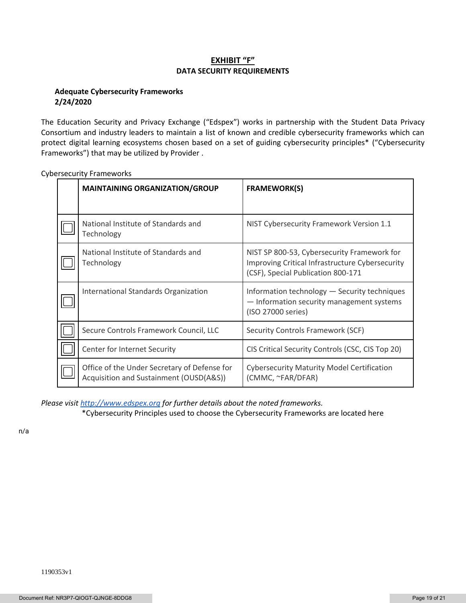#### **EXHIBIT "F" DATA SECURITY REQUIREMENTS**

#### **Adequate Cybersecurity Frameworks 2/24/2020**

The Education Security and Privacy Exchange ("Edspex") works in partnership with the Student Data Privacy Consortium and industry leaders to maintain a list of known and credible cybersecurity frameworks which can protect digital learning ecosystems chosen based on a set of guiding cybersecurity principles\* ("Cybersecurity Frameworks") that may be utilized by Provider .

| <b>MAINTAINING ORGANIZATION/GROUP</b>                                                   | <b>FRAMEWORK(S)</b>                                                                                                                  |
|-----------------------------------------------------------------------------------------|--------------------------------------------------------------------------------------------------------------------------------------|
|                                                                                         |                                                                                                                                      |
| National Institute of Standards and<br>Technology                                       | NIST Cybersecurity Framework Version 1.1                                                                                             |
| National Institute of Standards and<br>Technology                                       | NIST SP 800-53, Cybersecurity Framework for<br>Improving Critical Infrastructure Cybersecurity<br>(CSF), Special Publication 800-171 |
| International Standards Organization                                                    | Information technology - Security techniques<br>- Information security management systems<br>(ISO 27000 series)                      |
| Secure Controls Framework Council, LLC                                                  | Security Controls Framework (SCF)                                                                                                    |
| Center for Internet Security                                                            | CIS Critical Security Controls (CSC, CIS Top 20)                                                                                     |
| Office of the Under Secretary of Defense for<br>Acquisition and Sustainment (OUSD(A&S)) | <b>Cybersecurity Maturity Model Certification</b><br>(CMMC, ~FAR/DFAR)                                                               |

Cybersecurity Frameworks

*Please visi[t http://www.edspex.org](http://www.edspex.org/) for further details about the noted frameworks.*

\*Cybersecurity Principles used to choose the Cybersecurity Frameworks are located here

n/a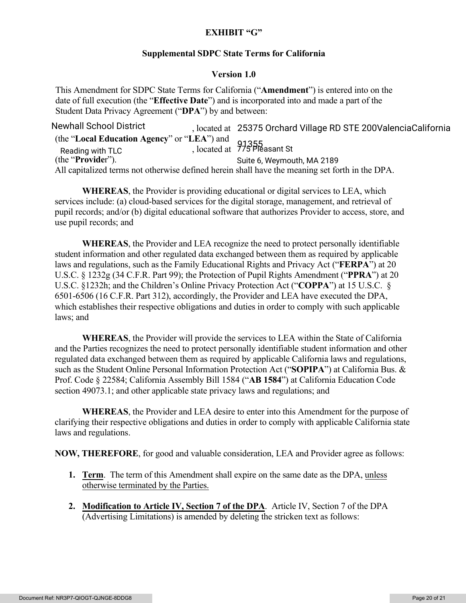# **EXHIBIT "G"**

## **Supplemental SDPC State Terms for California**

## **Version 1.0**

This Amendment for SDPC State Terms for California ("**Amendment**") is entered into on the date of full execution (the "**Effective Date**") and is incorporated into and made a part of the Student Data Privacy Agreement ("**DPA**") by and between:

, located at Newhall School District 25375 Orchard Village RD STE 200ValenciaCalifornia (the "**Local Education Agency**" or "**LEA**") and Reading with TLC 715 Pleasant St (the "**Provide**r"). All capitalized terms not otherwise defined herein shall have the meaning set forth in the DPA. Suite 6, Weymouth, MA 2189

**WHEREAS**, the Provider is providing educational or digital services to LEA, which services include: (a) cloud-based services for the digital storage, management, and retrieval of pupil records; and/or (b) digital educational software that authorizes Provider to access, store, and use pupil records; and

**WHEREAS**, the Provider and LEA recognize the need to protect personally identifiable student information and other regulated data exchanged between them as required by applicable laws and regulations, such as the Family Educational Rights and Privacy Act ("**FERPA**") at 20 U.S.C. § 1232g (34 C.F.R. Part 99); the Protection of Pupil Rights Amendment ("**PPRA**") at 20 U.S.C. §1232h; and the Children's Online Privacy Protection Act ("**COPPA**") at 15 U.S.C. § 6501-6506 (16 C.F.R. Part 312), accordingly, the Provider and LEA have executed the DPA, which establishes their respective obligations and duties in order to comply with such applicable laws; and

**WHEREAS**, the Provider will provide the services to LEA within the State of California and the Parties recognizes the need to protect personally identifiable student information and other regulated data exchanged between them as required by applicable California laws and regulations, such as the Student Online Personal Information Protection Act ("**SOPIPA**") at California Bus. & Prof. Code § 22584; California Assembly Bill 1584 ("**AB 1584**") at California Education Code section 49073.1; and other applicable state privacy laws and regulations; and

**WHEREAS**, the Provider and LEA desire to enter into this Amendment for the purpose of clarifying their respective obligations and duties in order to comply with applicable California state laws and regulations.

**NOW, THEREFORE**, for good and valuable consideration, LEA and Provider agree as follows:

- **1. Term**. The term of this Amendment shall expire on the same date as the DPA, unless otherwise terminated by the Parties.
- **2. Modification to Article IV, Section 7 of the DPA**. Article IV, Section 7 of the DPA (Advertising Limitations) is amended by deleting the stricken text as follows: